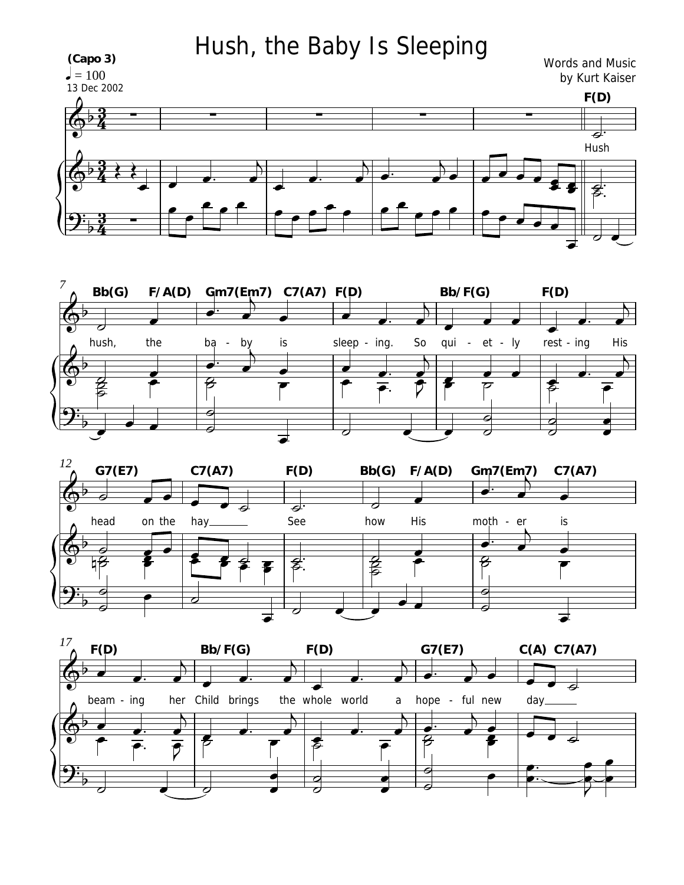